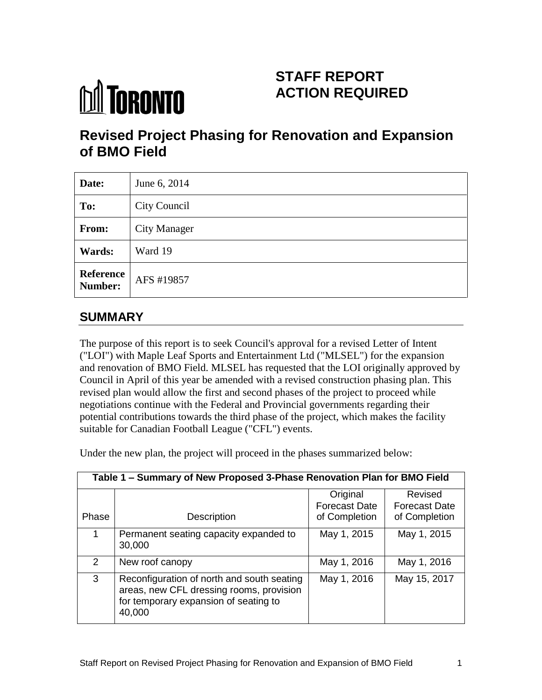# **M** TORONTO

# **STAFF REPORT ACTION REQUIRED**

# **Revised Project Phasing for Renovation and Expansion of BMO Field**

| Date:                       | June 6, 2014        |
|-----------------------------|---------------------|
| To:                         | City Council        |
| From:                       | <b>City Manager</b> |
| Wards:                      | Ward 19             |
| <b>Reference</b><br>Number: | AFS #19857          |

# **SUMMARY**

The purpose of this report is to seek Council's approval for a revised Letter of Intent ("LOI") with Maple Leaf Sports and Entertainment Ltd ("MLSEL") for the expansion and renovation of BMO Field. MLSEL has requested that the LOI originally approved by Council in April of this year be amended with a revised construction phasing plan. This revised plan would allow the first and second phases of the project to proceed while negotiations continue with the Federal and Provincial governments regarding their potential contributions towards the third phase of the project, which makes the facility suitable for Canadian Football League ("CFL") events.

Under the new plan, the project will proceed in the phases summarized below:

| Table 1 – Summary of New Proposed 3-Phase Renovation Plan for BMO Field |                                                                                                                                           |                                  |                                 |  |
|-------------------------------------------------------------------------|-------------------------------------------------------------------------------------------------------------------------------------------|----------------------------------|---------------------------------|--|
|                                                                         |                                                                                                                                           | Original<br><b>Forecast Date</b> | Revised<br><b>Forecast Date</b> |  |
| Phase                                                                   | Description                                                                                                                               | of Completion                    | of Completion                   |  |
| 1                                                                       | Permanent seating capacity expanded to<br>30,000                                                                                          | May 1, 2015                      | May 1, 2015                     |  |
| $\mathcal{P}$                                                           | New roof canopy                                                                                                                           | May 1, 2016                      | May 1, 2016                     |  |
| 3                                                                       | Reconfiguration of north and south seating<br>areas, new CFL dressing rooms, provision<br>for temporary expansion of seating to<br>40,000 | May 1, 2016                      | May 15, 2017                    |  |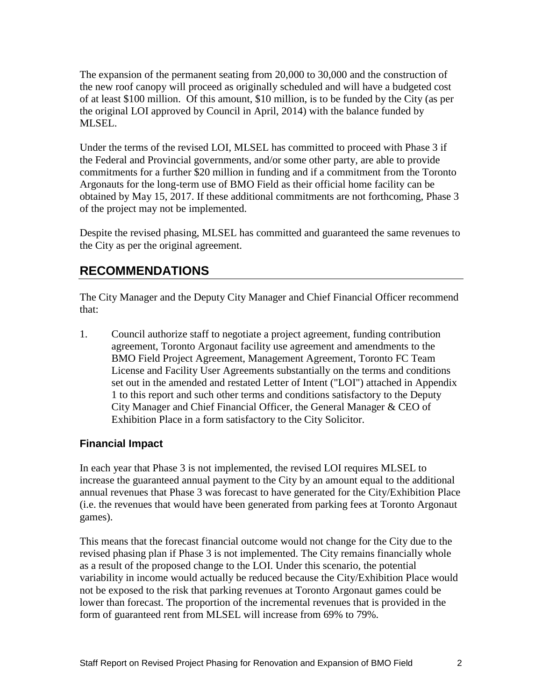The expansion of the permanent seating from 20,000 to 30,000 and the construction of the new roof canopy will proceed as originally scheduled and will have a budgeted cost of at least \$100 million. Of this amount, \$10 million, is to be funded by the City (as per the original LOI approved by Council in April, 2014) with the balance funded by MLSEL.

Under the terms of the revised LOI, MLSEL has committed to proceed with Phase 3 if the Federal and Provincial governments, and/or some other party, are able to provide commitments for a further \$20 million in funding and if a commitment from the Toronto Argonauts for the long-term use of BMO Field as their official home facility can be obtained by May 15, 2017. If these additional commitments are not forthcoming, Phase 3 of the project may not be implemented.

Despite the revised phasing, MLSEL has committed and guaranteed the same revenues to the City as per the original agreement.

## **RECOMMENDATIONS**

The City Manager and the Deputy City Manager and Chief Financial Officer recommend that:

1. Council authorize staff to negotiate a project agreement, funding contribution agreement, Toronto Argonaut facility use agreement and amendments to the BMO Field Project Agreement, Management Agreement, Toronto FC Team License and Facility User Agreements substantially on the terms and conditions set out in the amended and restated Letter of Intent ("LOI") attached in Appendix 1 to this report and such other terms and conditions satisfactory to the Deputy City Manager and Chief Financial Officer, the General Manager & CEO of Exhibition Place in a form satisfactory to the City Solicitor.

#### **Financial Impact**

In each year that Phase 3 is not implemented, the revised LOI requires MLSEL to increase the guaranteed annual payment to the City by an amount equal to the additional annual revenues that Phase 3 was forecast to have generated for the City/Exhibition Place (i.e. the revenues that would have been generated from parking fees at Toronto Argonaut games).

This means that the forecast financial outcome would not change for the City due to the revised phasing plan if Phase 3 is not implemented. The City remains financially whole as a result of the proposed change to the LOI. Under this scenario, the potential variability in income would actually be reduced because the City/Exhibition Place would not be exposed to the risk that parking revenues at Toronto Argonaut games could be lower than forecast. The proportion of the incremental revenues that is provided in the form of guaranteed rent from MLSEL will increase from 69% to 79%.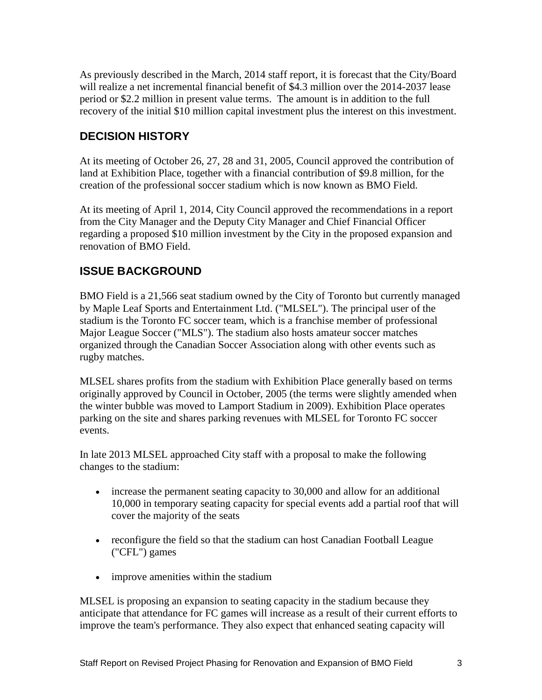As previously described in the March, 2014 staff report, it is forecast that the City/Board will realize a net incremental financial benefit of \$4.3 million over the 2014-2037 lease period or \$2.2 million in present value terms. The amount is in addition to the full recovery of the initial \$10 million capital investment plus the interest on this investment.

#### **DECISION HISTORY**

At its meeting of October 26, 27, 28 and 31, 2005, Council approved the contribution of land at Exhibition Place, together with a financial contribution of \$9.8 million, for the creation of the professional soccer stadium which is now known as BMO Field.

At its meeting of April 1, 2014, City Council approved the recommendations in a report from the City Manager and the Deputy City Manager and Chief Financial Officer regarding a proposed \$10 million investment by the City in the proposed expansion and renovation of BMO Field.

#### **ISSUE BACKGROUND**

BMO Field is a 21,566 seat stadium owned by the City of Toronto but currently managed by Maple Leaf Sports and Entertainment Ltd. ("MLSEL"). The principal user of the stadium is the Toronto FC soccer team, which is a franchise member of professional Major League Soccer ("MLS"). The stadium also hosts amateur soccer matches organized through the Canadian Soccer Association along with other events such as rugby matches.

MLSEL shares profits from the stadium with Exhibition Place generally based on terms originally approved by Council in October, 2005 (the terms were slightly amended when the winter bubble was moved to Lamport Stadium in 2009). Exhibition Place operates parking on the site and shares parking revenues with MLSEL for Toronto FC soccer events.

In late 2013 MLSEL approached City staff with a proposal to make the following changes to the stadium:

- increase the permanent seating capacity to 30,000 and allow for an additional 10,000 in temporary seating capacity for special events add a partial roof that will cover the majority of the seats
- reconfigure the field so that the stadium can host Canadian Football League ("CFL") games
- improve amenities within the stadium

MLSEL is proposing an expansion to seating capacity in the stadium because they anticipate that attendance for FC games will increase as a result of their current efforts to improve the team's performance. They also expect that enhanced seating capacity will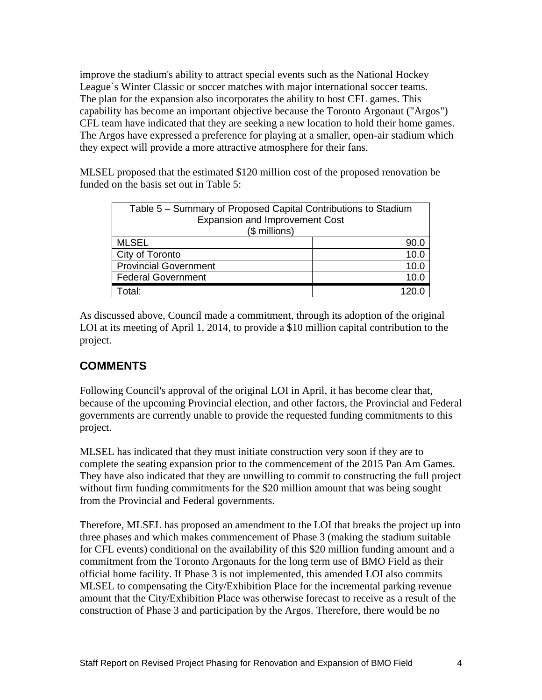improve the stadium's ability to attract special events such as the National Hockey League`s Winter Classic or soccer matches with major international soccer teams. The plan for the expansion also incorporates the ability to host CFL games. This capability has become an important objective because the Toronto Argonaut ("Argos") CFL team have indicated that they are seeking a new location to hold their home games. The Argos have expressed a preference for playing at a smaller, open-air stadium which they expect will provide a more attractive atmosphere for their fans.

MLSEL proposed that the estimated \$120 million cost of the proposed renovation be funded on the basis set out in Table 5:

| Table 5 – Summary of Proposed Capital Contributions to Stadium<br><b>Expansion and Improvement Cost</b><br>(\$ millions) |      |  |  |  |
|--------------------------------------------------------------------------------------------------------------------------|------|--|--|--|
|                                                                                                                          |      |  |  |  |
| <b>MLSEL</b>                                                                                                             | 90.0 |  |  |  |
| City of Toronto                                                                                                          | 10.C |  |  |  |
| <b>Provincial Government</b>                                                                                             | 10.C |  |  |  |
| <b>Federal Government</b>                                                                                                | 10 C |  |  |  |
| ัotal:                                                                                                                   |      |  |  |  |

As discussed above, Council made a commitment, through its adoption of the original LOI at its meeting of April 1, 2014, to provide a \$10 million capital contribution to the project.

## **COMMENTS**

Following Council's approval of the original LOI in April, it has become clear that, because of the upcoming Provincial election, and other factors, the Provincial and Federal governments are currently unable to provide the requested funding commitments to this project.

MLSEL has indicated that they must initiate construction very soon if they are to complete the seating expansion prior to the commencement of the 2015 Pan Am Games. They have also indicated that they are unwilling to commit to constructing the full project without firm funding commitments for the \$20 million amount that was being sought from the Provincial and Federal governments.

Therefore, MLSEL has proposed an amendment to the LOI that breaks the project up into three phases and which makes commencement of Phase 3 (making the stadium suitable for CFL events) conditional on the availability of this \$20 million funding amount and a commitment from the Toronto Argonauts for the long term use of BMO Field as their official home facility. If Phase 3 is not implemented, this amended LOI also commits MLSEL to compensating the City/Exhibition Place for the incremental parking revenue amount that the City/Exhibition Place was otherwise forecast to receive as a result of the construction of Phase 3 and participation by the Argos. Therefore, there would be no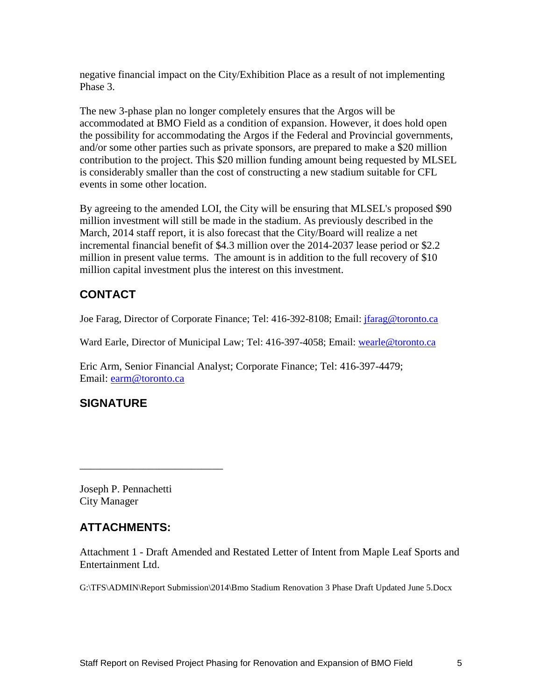negative financial impact on the City/Exhibition Place as a result of not implementing Phase 3.

The new 3-phase plan no longer completely ensures that the Argos will be accommodated at BMO Field as a condition of expansion. However, it does hold open the possibility for accommodating the Argos if the Federal and Provincial governments, and/or some other parties such as private sponsors, are prepared to make a \$20 million contribution to the project. This \$20 million funding amount being requested by MLSEL is considerably smaller than the cost of constructing a new stadium suitable for CFL events in some other location.

By agreeing to the amended LOI, the City will be ensuring that MLSEL's proposed \$90 million investment will still be made in the stadium. As previously described in the March, 2014 staff report, it is also forecast that the City/Board will realize a net incremental financial benefit of \$4.3 million over the 2014-2037 lease period or \$2.2 million in present value terms. The amount is in addition to the full recovery of \$10 million capital investment plus the interest on this investment.

#### **CONTACT**

Joe Farag, Director of Corporate Finance; Tel: 416-392-8108; Email: [jfarag@toronto.ca](mailto:jfarag@toronto.ca)

Ward Earle, Director of Municipal Law; Tel: 416-397-4058; Email: [wearle@toronto.ca](mailto:wearle@toronto.ca)

Eric Arm, Senior Financial Analyst; Corporate Finance; Tel: 416-397-4479; Email: [earm@toronto.ca](mailto:earm@toronto.ca)

## **SIGNATURE**

Joseph P. Pennachetti City Manager

\_\_\_\_\_\_\_\_\_\_\_\_\_\_\_\_\_\_\_\_\_\_\_\_\_\_\_

#### **ATTACHMENTS:**

Attachment 1 - Draft Amended and Restated Letter of Intent from Maple Leaf Sports and Entertainment Ltd.

G:\TFS\ADMIN\Report Submission\2014\Bmo Stadium Renovation 3 Phase Draft Updated June 5.Docx